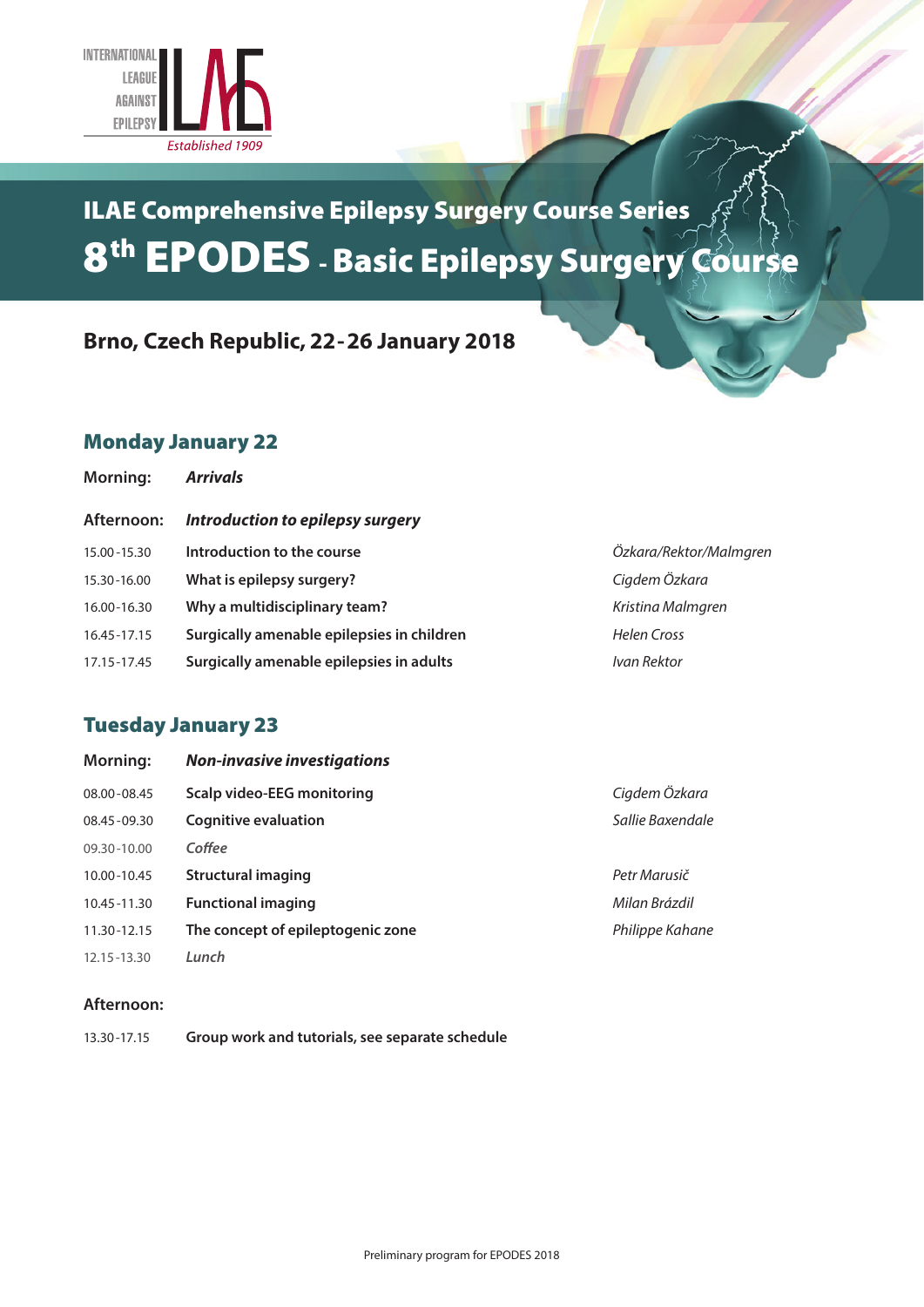

## ILAE Comprehensive Epilepsy Surgery Course Series 8th EPODES - Basic Epilepsy Surgery Course

## **Brno, Czech Republic, 22-26 January 2018**

## Monday January 22

| <b>Morning:</b> | <b>Arrivals</b>                            |                        |
|-----------------|--------------------------------------------|------------------------|
| Afternoon:      | Introduction to epilepsy surgery           |                        |
| 15.00 - 15.30   | Introduction to the course                 | Özkara/Rektor/Malmgren |
| 15.30-16.00     | What is epilepsy surgery?                  | Cigdem Özkara          |
| 16.00-16.30     | Why a multidisciplinary team?              | Kristina Malmaren      |
| 16.45-17.15     | Surgically amenable epilepsies in children | Helen Cross            |
| 17.15-17.45     | Surgically amenable epilepsies in adults   | Ivan Rektor            |
|                 |                                            |                        |

## Tuesday January 23

| <b>Morning:</b> | <b>Non-invasive investigations</b> |                  |
|-----------------|------------------------------------|------------------|
| 08.00-08.45     | Scalp video-EEG monitoring         | Cigdem Özkara    |
| 08.45-09.30     | <b>Cognitive evaluation</b>        | Sallie Baxendale |
| 09.30-10.00     | Coffee                             |                  |
| 10.00-10.45     | Structural imaging                 | Petr Marusič     |
| 10.45-11.30     | <b>Functional imaging</b>          | Milan Brázdil    |
| 11.30-12.15     | The concept of epileptogenic zone  | Philippe Kahane  |
| 12.15 - 13.30   | Lunch                              |                  |

#### **Afternoon:**

| 13.30-17.15 | Group work and tutorials, see separate schedule |
|-------------|-------------------------------------------------|
|-------------|-------------------------------------------------|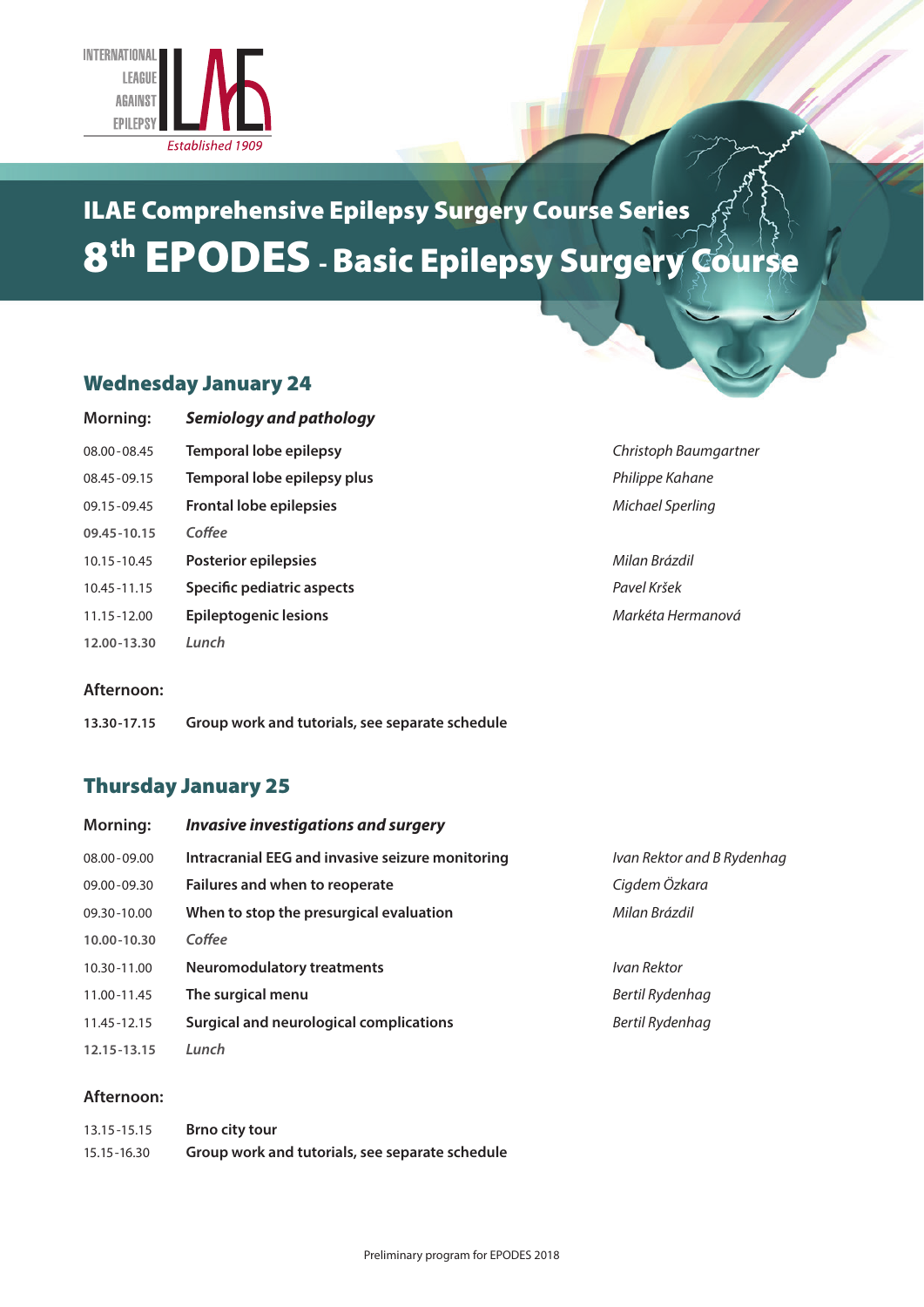

# ILAE Comprehensive Epilepsy Surgery Course Series 8th EPODES - Basic Epilepsy Surgery Course

## Wednesday January 24

| <b>Morning:</b> | <b>Semiology and pathology</b> |                       |
|-----------------|--------------------------------|-----------------------|
| 08.00-08.45     | <b>Temporal lobe epilepsy</b>  | Christoph Baumgartner |
| 08.45-09.15     | Temporal lobe epilepsy plus    | Philippe Kahane       |
| 09.15 - 09.45   | <b>Frontal lobe epilepsies</b> | Michael Sperling      |
| 09.45-10.15     | Coffee                         |                       |
| 10.15 - 10.45   | Posterior epilepsies           | Milan Brázdil         |
| 10.45 - 11.15   | Specific pediatric aspects     | Pavel Kršek           |
| 11.15 - 12.00   | <b>Epileptogenic lesions</b>   | Markéta Hermanová     |
| 12.00-13.30     | Lunch                          |                       |

#### **Afternoon:**

**13.30-17.15 Group work and tutorials, see separate schedule**

## Thursday January 25

| <b>Morning:</b> | <b>Invasive investigations and surgery</b>       |                            |
|-----------------|--------------------------------------------------|----------------------------|
| $08.00 - 09.00$ | Intracranial EEG and invasive seizure monitoring | Ivan Rektor and B Rydenhag |
| $09.00 - 09.30$ | Failures and when to reoperate                   | Cigdem Özkara              |
| 09.30-10.00     | When to stop the presurgical evaluation          | Milan Brázdil              |
| 10.00-10.30     | Coffee                                           |                            |
| 10.30-11.00     | <b>Neuromodulatory treatments</b>                | Ivan Rektor                |
| 11.00-11.45     | The surgical menu                                | Bertil Rydenhag            |
| 11.45-12.15     | Surgical and neurological complications          | Bertil Rydenhag            |
| 12.15 - 13.15   | Lunch                                            |                            |

#### **Afternoon:**

| 13.15 - 15.15 | Brno city tour                                  |
|---------------|-------------------------------------------------|
| 15.15 - 16.30 | Group work and tutorials, see separate schedule |